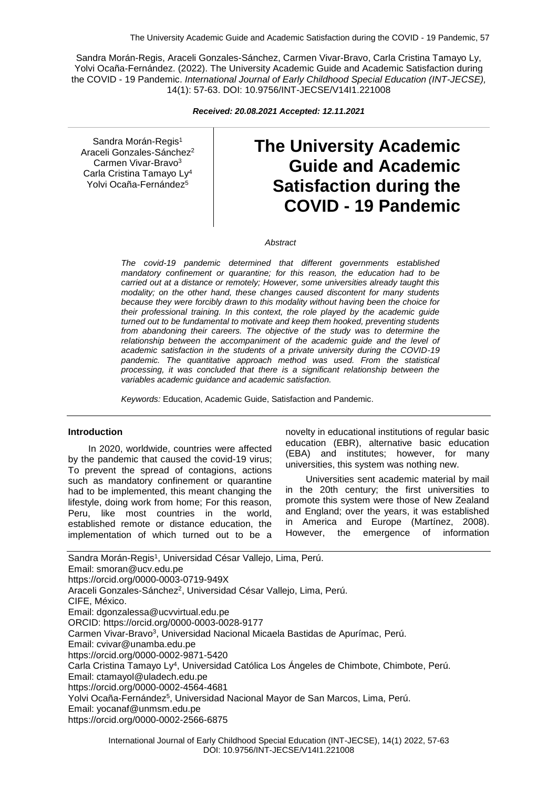Sandra Morán-Regis, Araceli Gonzales-Sánchez, Carmen Vivar-Bravo, Carla Cristina Tamayo Ly, Yolvi Ocaña-Fernández. (2022). The University Academic Guide and Academic Satisfaction during the COVID - 19 Pandemic. *International Journal of Early Childhood Special Education (INT-JECSE),* 14(1): 57-63. DOI: 10.9756/INT-JECSE/V14I1.221008

*Received: 20.08.2021 Accepted: 12.11.2021*

Sandra Morán-Regis<sup>1</sup> Araceli Gonzales-Sánchez<sup>2</sup> Carmen Vivar-Bravo<sup>3</sup> Carla Cristina Tamayo Ly<sup>4</sup> Yolvi Ocaña-Fernández<sup>5</sup>

# **The University Academic Guide and Academic Satisfaction during the COVID - 19 Pandemic**

*Abstract*

*The covid-19 pandemic determined that different governments established mandatory confinement or quarantine; for this reason, the education had to be carried out at a distance or remotely; However, some universities already taught this modality; on the other hand, these changes caused discontent for many students because they were forcibly drawn to this modality without having been the choice for their professional training. In this context, the role played by the academic guide turned out to be fundamental to motivate and keep them hooked, preventing students from abandoning their careers. The objective of the study was to determine the relationship between the accompaniment of the academic guide and the level of academic satisfaction in the students of a private university during the COVID-19 pandemic. The quantitative approach method was used. From the statistical processing, it was concluded that there is a significant relationship between the variables academic guidance and academic satisfaction.*

*Keywords:* Education, Academic Guide, Satisfaction and Pandemic.

#### **Introduction**

In 2020, worldwide, countries were affected by the pandemic that caused the covid-19 virus; To prevent the spread of contagions, actions such as mandatory confinement or quarantine had to be implemented, this meant changing the lifestyle, doing work from home; For this reason, Peru, like most countries in the world, established remote or distance education, the implementation of which turned out to be a

novelty in educational institutions of regular basic education (EBR), alternative basic education (EBA) and institutes; however, for many universities, this system was nothing new.

Universities sent academic material by mail in the 20th century; the first universities to promote this system were those of New Zealand and England; over the years, it was established in America and Europe (Martínez, 2008). However, the emergence of information

Sandra Morán-Regis<sup>1</sup>, Universidad César Vallejo, Lima, Perú. Email: smoran@ucv.edu.pe https://orcid.org/0000-0003-0719-949X Araceli Gonzales-Sánchez<sup>2</sup>, Universidad César Vallejo, Lima, Perú. CIFE, México. Email: dgonzalessa@ucvvirtual.edu.pe ORCID: https://orcid.org/0000-0003-0028-9177 Carmen Vivar-Bravo<sup>3</sup>, Universidad Nacional Micaela Bastidas de Apurímac, Perú. Email: cvivar@unamba.edu.pe https://orcid.org/0000-0002-9871-5420 Carla Cristina Tamayo Ly<sup>4</sup> , Universidad Católica Los Ángeles de Chimbote, Chimbote, Perú. Email: ctamayol@uladech.edu.pe https://orcid.org/0000-0002-4564-4681 Yolvi Ocaña-Fernández<sup>5</sup>, Universidad Nacional Mayor de San Marcos, Lima, Perú. Email: yocanaf@unmsm.edu.pe https://orcid.org/0000-0002-2566-6875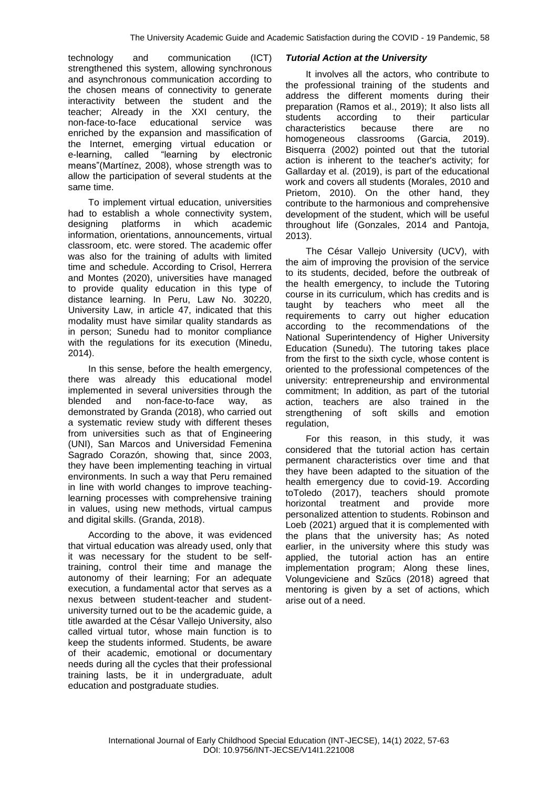technology and communication (ICT) strengthened this system, allowing synchronous and asynchronous communication according to the chosen means of connectivity to generate interactivity between the student and the teacher; Already in the XXI century, the non-face-to-face educational service was enriched by the expansion and massification of the Internet, emerging virtual education or e-learning, called "learning by electronic means"(Martínez, 2008), whose strength was to allow the participation of several students at the same time.

To implement virtual education, universities had to establish a whole connectivity system, designing platforms in which academic information, orientations, announcements, virtual classroom, etc. were stored. The academic offer was also for the training of adults with limited time and schedule. According to Crisol, Herrera and Montes (2020), universities have managed to provide quality education in this type of distance learning. In Peru, Law No. 30220, University Law, in article 47, indicated that this modality must have similar quality standards as in person; Sunedu had to monitor compliance with the regulations for its execution (Minedu, 2014).

In this sense, before the health emergency, there was already this educational model implemented in several universities through the blended and non-face-to-face way, as demonstrated by Granda (2018), who carried out a systematic review study with different theses from universities such as that of Engineering (UNI), San Marcos and Universidad Femenina Sagrado Corazón, showing that, since 2003, they have been implementing teaching in virtual environments. In such a way that Peru remained in line with world changes to improve teachinglearning processes with comprehensive training in values, using new methods, virtual campus and digital skills. (Granda, 2018).

According to the above, it was evidenced that virtual education was already used, only that it was necessary for the student to be selftraining, control their time and manage the autonomy of their learning; For an adequate execution, a fundamental actor that serves as a nexus between student-teacher and studentuniversity turned out to be the academic guide, a title awarded at the César Vallejo University, also called virtual tutor, whose main function is to keep the students informed. Students, be aware of their academic, emotional or documentary needs during all the cycles that their professional training lasts, be it in undergraduate, adult education and postgraduate studies.

#### *Tutorial Action at the University*

It involves all the actors, who contribute to the professional training of the students and address the different moments during their preparation (Ramos et al., 2019); It also lists all students according to their particular<br>characteristics because there are no characteristics because there are no homogeneous classrooms (Garcia, 2019). Bisquerra (2002) pointed out that the tutorial action is inherent to the teacher's activity; for Gallarday et al. (2019), is part of the educational work and covers all students (Morales, 2010 and Prietom, 2010). On the other hand, they contribute to the harmonious and comprehensive development of the student, which will be useful throughout life (Gonzales, 2014 and Pantoja, 2013).

The César Vallejo University (UCV), with the aim of improving the provision of the service to its students, decided, before the outbreak of the health emergency, to include the Tutoring course in its curriculum, which has credits and is taught by teachers who meet all the requirements to carry out higher education according to the recommendations of the National Superintendency of Higher University Education (Sunedu). The tutoring takes place from the first to the sixth cycle, whose content is oriented to the professional competences of the university: entrepreneurship and environmental commitment; In addition, as part of the tutorial action, teachers are also trained in the strengthening of soft skills and emotion regulation,

For this reason, in this study, it was considered that the tutorial action has certain permanent characteristics over time and that they have been adapted to the situation of the health emergency due to covid-19. According toToledo (2017), teachers should promote horizontal treatment and provide more personalized attention to students. Robinson and Loeb (2021) argued that it is complemented with the plans that the university has; As noted earlier, in the university where this study was applied, the tutorial action has an entire implementation program; Along these lines, Volungeviciene and Szűcs (2018) agreed that mentoring is given by a set of actions, which arise out of a need.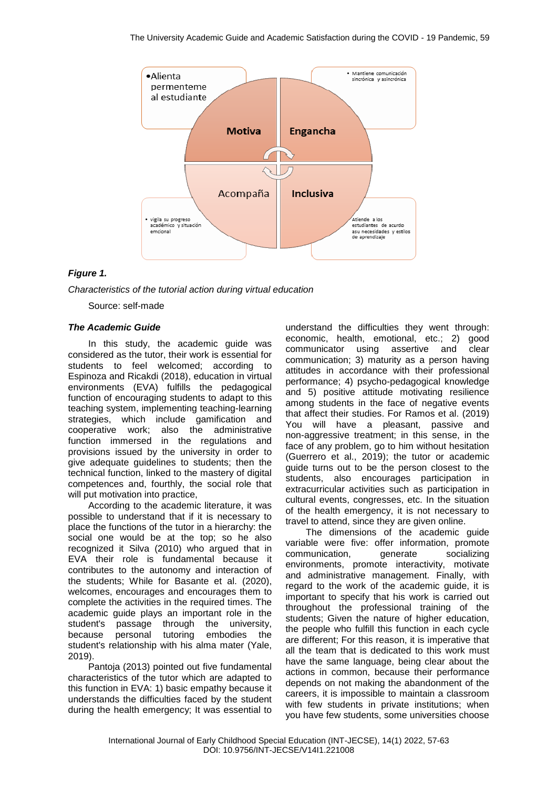

# *Figure 1.*

*Characteristics of the tutorial action during virtual education*

Source: self-made

## *The Academic Guide*

In this study, the academic guide was considered as the tutor, their work is essential for students to feel welcomed; according to Espinoza and Ricakdi (2018), education in virtual environments (EVA) fulfills the pedagogical function of encouraging students to adapt to this teaching system, implementing teaching-learning strategies, which include gamification and cooperative work; also the administrative function immersed in the regulations and provisions issued by the university in order to give adequate guidelines to students; then the technical function, linked to the mastery of digital competences and, fourthly, the social role that will put motivation into practice,

According to the academic literature, it was possible to understand that if it is necessary to place the functions of the tutor in a hierarchy: the social one would be at the top; so he also recognized it Silva (2010) who argued that in EVA their role is fundamental because it contributes to the autonomy and interaction of the students; While for Basante et al. (2020), welcomes, encourages and encourages them to complete the activities in the required times. The academic guide plays an important role in the student's passage through the university, because personal tutoring embodies the student's relationship with his alma mater (Yale, 2019).

Pantoja (2013) pointed out five fundamental characteristics of the tutor which are adapted to this function in EVA: 1) basic empathy because it understands the difficulties faced by the student during the health emergency; It was essential to

understand the difficulties they went through: economic, health, emotional, etc.; 2) good communicator using assertive and clear communication; 3) maturity as a person having attitudes in accordance with their professional performance; 4) psycho-pedagogical knowledge and 5) positive attitude motivating resilience among students in the face of negative events that affect their studies. For Ramos et al. (2019) You will have a pleasant, passive and non-aggressive treatment; in this sense, in the face of any problem, go to him without hesitation (Guerrero et al., 2019); the tutor or academic guide turns out to be the person closest to the students, also encourages participation in extracurricular activities such as participation in cultural events, congresses, etc. In the situation of the health emergency, it is not necessary to travel to attend, since they are given online.

The dimensions of the academic guide variable were five: offer information, promote communication, generate socializing environments, promote interactivity, motivate and administrative management. Finally, with regard to the work of the academic guide, it is important to specify that his work is carried out throughout the professional training of the students; Given the nature of higher education, the people who fulfill this function in each cycle are different; For this reason, it is imperative that all the team that is dedicated to this work must have the same language, being clear about the actions in common, because their performance depends on not making the abandonment of the careers, it is impossible to maintain a classroom with few students in private institutions; when you have few students, some universities choose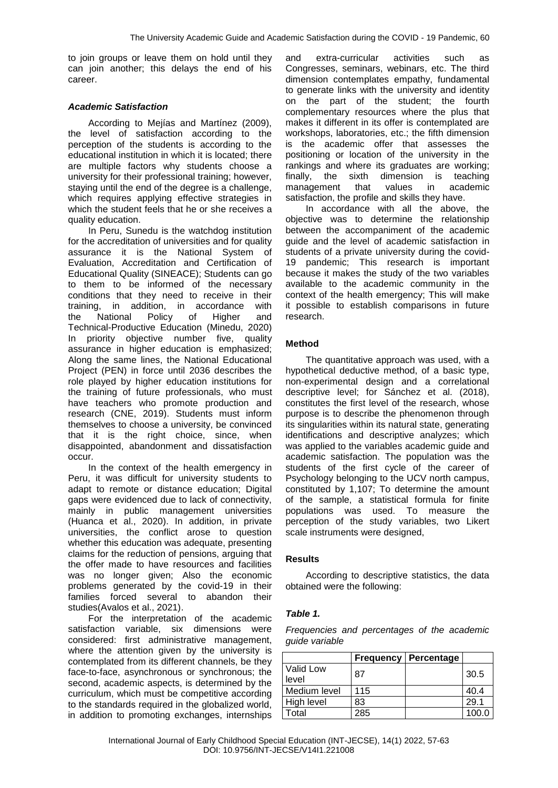to join groups or leave them on hold until they can join another; this delays the end of his career.

## *Academic Satisfaction*

According to Mejías and Martínez (2009), the level of satisfaction according to the perception of the students is according to the educational institution in which it is located; there are multiple factors why students choose a university for their professional training; however, staying until the end of the degree is a challenge, which requires applying effective strategies in which the student feels that he or she receives a quality education.

In Peru, Sunedu is the watchdog institution for the accreditation of universities and for quality assurance it is the National System of Evaluation, Accreditation and Certification of Educational Quality (SINEACE); Students can go to them to be informed of the necessary conditions that they need to receive in their training, in addition, in accordance with the National Policy of Higher and Technical-Productive Education (Minedu, 2020) In priority objective number five, quality assurance in higher education is emphasized; Along the same lines, the National Educational Project (PEN) in force until 2036 describes the role played by higher education institutions for the training of future professionals, who must have teachers who promote production and research (CNE, 2019). Students must inform themselves to choose a university, be convinced that it is the right choice, since, when disappointed, abandonment and dissatisfaction occur.

In the context of the health emergency in Peru, it was difficult for university students to adapt to remote or distance education; Digital gaps were evidenced due to lack of connectivity, mainly in public management universities (Huanca et al., 2020). In addition, in private universities, the conflict arose to question whether this education was adequate, presenting claims for the reduction of pensions, arguing that the offer made to have resources and facilities was no longer given; Also the economic problems generated by the covid-19 in their families forced several to abandon their studies(Avalos et al., 2021).

For the interpretation of the academic satisfaction variable, six dimensions were considered: first administrative management, where the attention given by the university is contemplated from its different channels, be they face-to-face, asynchronous or synchronous; the second, academic aspects, is determined by the curriculum, which must be competitive according to the standards required in the globalized world, in addition to promoting exchanges, internships

and extra-curricular activities such as Congresses, seminars, webinars, etc. The third dimension contemplates empathy, fundamental to generate links with the university and identity on the part of the student; the fourth complementary resources where the plus that makes it different in its offer is contemplated are workshops, laboratories, etc.; the fifth dimension is the academic offer that assesses the positioning or location of the university in the rankings and where its graduates are working; finally, the sixth dimension is teaching management that values in academic satisfaction, the profile and skills they have.

In accordance with all the above, the objective was to determine the relationship between the accompaniment of the academic guide and the level of academic satisfaction in students of a private university during the covid-19 pandemic; This research is important because it makes the study of the two variables available to the academic community in the context of the health emergency; This will make it possible to establish comparisons in future research.

## **Method**

The quantitative approach was used, with a hypothetical deductive method, of a basic type, non-experimental design and a correlational descriptive level; for Sánchez et al. (2018), constitutes the first level of the research, whose purpose is to describe the phenomenon through its singularities within its natural state, generating identifications and descriptive analyzes; which was applied to the variables academic guide and academic satisfaction. The population was the students of the first cycle of the career of Psychology belonging to the UCV north campus, constituted by 1,107; To determine the amount of the sample, a statistical formula for finite populations was used. To measure the perception of the study variables, two Likert scale instruments were designed,

#### **Results**

According to descriptive statistics, the data obtained were the following:

## *Table 1.*

*Frequencies and percentages of the academic guide variable*

|                    | <b>Frequency</b> | Percentage |       |
|--------------------|------------------|------------|-------|
| Valid Low<br>level | 87               |            | 30.5  |
| Medium level       | 115              |            | 40.4  |
| High level         | 83               |            | 29.1  |
| Гоtal              | 285              |            | 100.0 |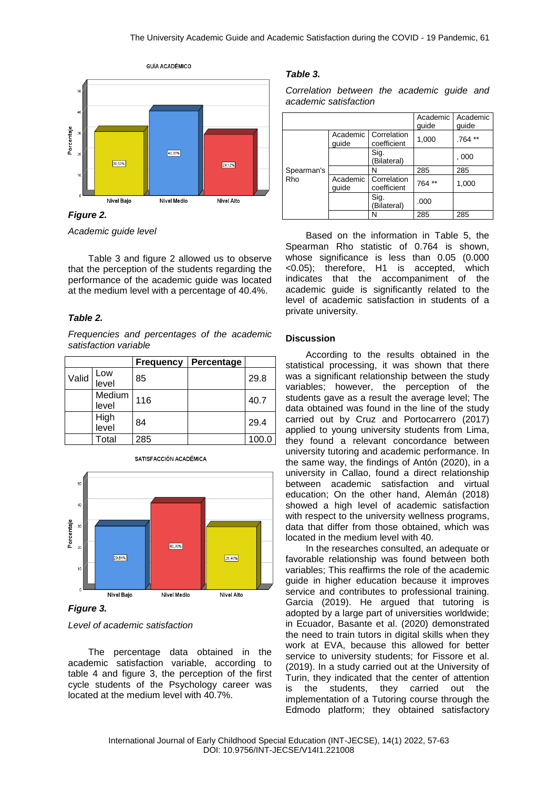

*Figure 2.*

*Academic guide level*

Table 3 and figure 2 allowed us to observe that the perception of the students regarding the performance of the academic guide was located at the medium level with a percentage of 40.4%.

## *Table 2.*

*Frequencies and percentages of the academic satisfaction variable*

|       |                 | <b>Frequency</b> | Percentage |       |
|-------|-----------------|------------------|------------|-------|
| Valid | Low<br>level    | 85               |            | 29.8  |
|       | Medium<br>level | 116              |            | 40.7  |
|       | High<br>level   | 84               |            | 29.4  |
|       | Total           | 285              |            | 100.0 |



*Level of academic satisfaction*

The percentage data obtained in the academic satisfaction variable, according to table 4 and figure 3, the perception of the first cycle students of the Psychology career was located at the medium level with 40.7%.

# *Table 3.*

*Correlation between the academic guide and academic satisfaction*

|                   |                   |                                       | Academic<br>guide | Academic<br>guide |
|-------------------|-------------------|---------------------------------------|-------------------|-------------------|
| Spearman's<br>Rho | quide             | Academic   Correlation<br>coefficient | 1,000             | .764 **           |
|                   |                   | Sig.<br>(Bilateral)                   |                   | , 000             |
|                   |                   | N                                     | 285               | 285               |
|                   | Academic<br>quide | Correlation<br>coefficient            | 764**             | 1,000             |
|                   |                   | Sig.<br>(Bilateral)                   | .000              |                   |
|                   |                   | N                                     | 285               | 285               |

Based on the information in Table 5, the Spearman Rho statistic of 0.764 is shown, whose significance is less than 0.05 (0.000 <0.05); therefore, H1 is accepted, which indicates that the accompaniment of the academic guide is significantly related to the level of academic satisfaction in students of a private university.

### **Discussion**

According to the results obtained in the statistical processing, it was shown that there was a significant relationship between the study variables; however, the perception of the students gave as a result the average level; The data obtained was found in the line of the study carried out by Cruz and Portocarrero (2017) applied to young university students from Lima, they found a relevant concordance between university tutoring and academic performance. In the same way, the findings of Antón (2020), in a university in Callao, found a direct relationship between academic satisfaction and virtual education; On the other hand, Alemán (2018) showed a high level of academic satisfaction with respect to the university wellness programs, data that differ from those obtained, which was located in the medium level with 40.

In the researches consulted, an adequate or favorable relationship was found between both variables; This reaffirms the role of the academic guide in higher education because it improves service and contributes to professional training. Garcia (2019). He argued that tutoring is adopted by a large part of universities worldwide; in Ecuador, Basante et al. (2020) demonstrated the need to train tutors in digital skills when they work at EVA, because this allowed for better service to university students; for Fissore et al. (2019). In a study carried out at the University of Turin, they indicated that the center of attention is the students, they carried out the implementation of a Tutoring course through the Edmodo platform; they obtained satisfactory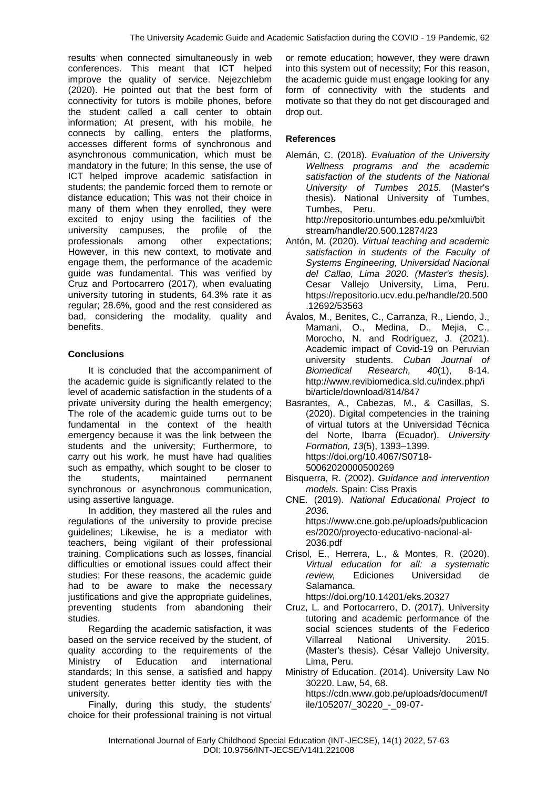results when connected simultaneously in web conferences. This meant that ICT helped improve the quality of service. Nejezchlebm (2020). He pointed out that the best form of connectivity for tutors is mobile phones, before the student called a call center to obtain information; At present, with his mobile, he connects by calling, enters the platforms, accesses different forms of synchronous and asynchronous communication, which must be mandatory in the future; In this sense, the use of ICT helped improve academic satisfaction in students; the pandemic forced them to remote or distance education; This was not their choice in many of them when they enrolled, they were excited to enjoy using the facilities of the university campuses, the profile of the professionals among other expectations; However, in this new context, to motivate and engage them, the performance of the academic guide was fundamental. This was verified by Cruz and Portocarrero (2017), when evaluating university tutoring in students, 64.3% rate it as regular; 28.6%, good and the rest considered as bad, considering the modality, quality and benefits.

# **Conclusions**

It is concluded that the accompaniment of the academic guide is significantly related to the level of academic satisfaction in the students of a private university during the health emergency; The role of the academic guide turns out to be fundamental in the context of the health emergency because it was the link between the students and the university; Furthermore, to carry out his work, he must have had qualities such as empathy, which sought to be closer to the students, maintained permanent synchronous or asynchronous communication, using assertive language.

In addition, they mastered all the rules and regulations of the university to provide precise guidelines; Likewise, he is a mediator with teachers, being vigilant of their professional training. Complications such as losses, financial difficulties or emotional issues could affect their studies; For these reasons, the academic guide had to be aware to make the necessary justifications and give the appropriate guidelines, preventing students from abandoning their studies.

Regarding the academic satisfaction, it was based on the service received by the student, of quality according to the requirements of the Ministry of Education and international standards; In this sense, a satisfied and happy student generates better identity ties with the university.

Finally, during this study, the students' choice for their professional training is not virtual or remote education; however, they were drawn into this system out of necessity; For this reason, the academic guide must engage looking for any form of connectivity with the students and motivate so that they do not get discouraged and drop out.

# **References**

Alemán, C. (2018). *Evaluation of the University Wellness programs and the academic satisfaction of the students of the National University of Tumbes 2015.* (Master's thesis). National University of Tumbes, Tumbes, Peru.

http://repositorio.untumbes.edu.pe/xmlui/bit stream/handle/20.500.12874/23

- Antón, M. (2020). *Virtual teaching and academic satisfaction in students of the Faculty of Systems Engineering, Universidad Nacional del Callao, Lima 2020. (Master's thesis).* Cesar Vallejo University, Lima, Peru. https://repositorio.ucv.edu.pe/handle/20.500 .12692/53563
- Ávalos, M., Benites, C., Carranza, R., Liendo, J., Mamani, O., Medina, D., Mejia, C., Morocho, N. and Rodríguez, J. (2021). Academic impact of Covid-19 on Peruvian university students. *Cuban Journal of Biomedical Research, 40*(1), 8-14. http://www.revibiomedica.sld.cu/index.php/i bi/article/download/814/847
- Basrantes, A., Cabezas, M., & Casillas, S. (2020). Digital competencies in the training of virtual tutors at the Universidad Técnica del Norte, Ibarra (Ecuador). *University Formation, 13*(5), 1393–1399. https://doi.org/10.4067/S0718- 50062020000500269
- Bisquerra, R. (2002). *Guidance and intervention models.* Spain: Ciss Praxis
- CNE. (2019). *National Educational Project to 2036.*  https://www.cne.gob.pe/uploads/publicacion es/2020/proyecto-educativo-nacional-al-2036.pdf
- Crisol, E., Herrera, L., & Montes, R. (2020). *Virtual education for all: a systematic review,* Ediciones Universidad de Salamanca.

https://doi.org/10.14201/eks.20327

- Cruz, L. and Portocarrero, D. (2017). University tutoring and academic performance of the social sciences students of the Federico Villarreal National University. 2015. (Master's thesis). César Vallejo University, Lima, Peru.
- Ministry of Education. (2014). University Law No 30220. Law, 54, 68. https://cdn.www.gob.pe/uploads/document/f ile/105207/\_30220\_-\_09-07-